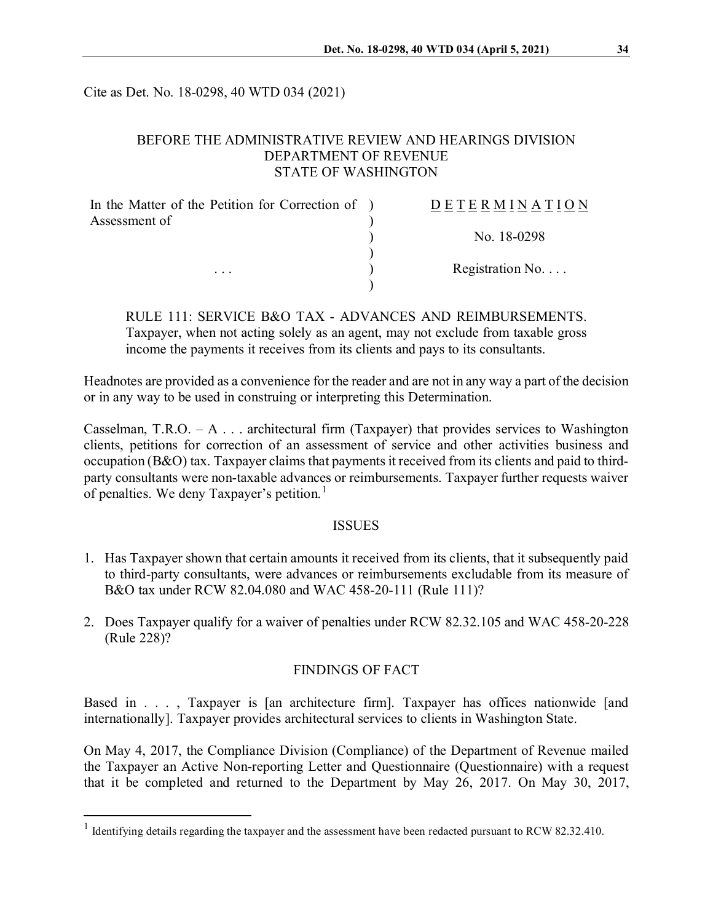Cite as Det. No. 18-0298, 40 WTD 034 (2021)

# BEFORE THE ADMINISTRATIVE REVIEW AND HEARINGS DIVISION DEPARTMENT OF REVENUE STATE OF WASHINGTON

| In the Matter of the Petition for Correction of ) | <b>DETERMINATION</b>     |
|---------------------------------------------------|--------------------------|
| Assessment of                                     |                          |
|                                                   | No. 18-0298              |
|                                                   |                          |
| $\cdots$                                          | Registration No. $\dots$ |
|                                                   |                          |

RULE 111: SERVICE B&O TAX - ADVANCES AND REIMBURSEMENTS. Taxpayer, when not acting solely as an agent, may not exclude from taxable gross income the payments it receives from its clients and pays to its consultants.

Headnotes are provided as a convenience for the reader and are not in any way a part of the decision or in any way to be used in construing or interpreting this Determination.

Casselman, T.R.O. – A . . . architectural firm (Taxpayer) that provides services to Washington clients, petitions for correction of an assessment of service and other activities business and occupation (B&O) tax. Taxpayer claims that payments it received from its clients and paid to thirdparty consultants were non-taxable advances or reimbursements. Taxpayer further requests waiver of penalties. We deny Taxpayer's petition.<sup>[1](#page-0-0)</sup>

#### **ISSUES**

- 1. Has Taxpayer shown that certain amounts it received from its clients, that it subsequently paid to third-party consultants, were advances or reimbursements excludable from its measure of B&O tax under RCW 82.04.080 and WAC 458-20-111 (Rule 111)?
- 2. Does Taxpayer qualify for a waiver of penalties under RCW 82.32.105 and WAC 458-20-228 (Rule 228)?

### FINDINGS OF FACT

Based in . . . , Taxpayer is [an architecture firm]. Taxpayer has offices nationwide [and internationally]. Taxpayer provides architectural services to clients in Washington State.

On May 4, 2017, the Compliance Division (Compliance) of the Department of Revenue mailed the Taxpayer an Active Non-reporting Letter and Questionnaire (Questionnaire) with a request that it be completed and returned to the Department by May 26, 2017. On May 30, 2017,

<span id="page-0-0"></span><sup>&</sup>lt;sup>1</sup> Identifying details regarding the taxpayer and the assessment have been redacted pursuant to RCW 82.32.410.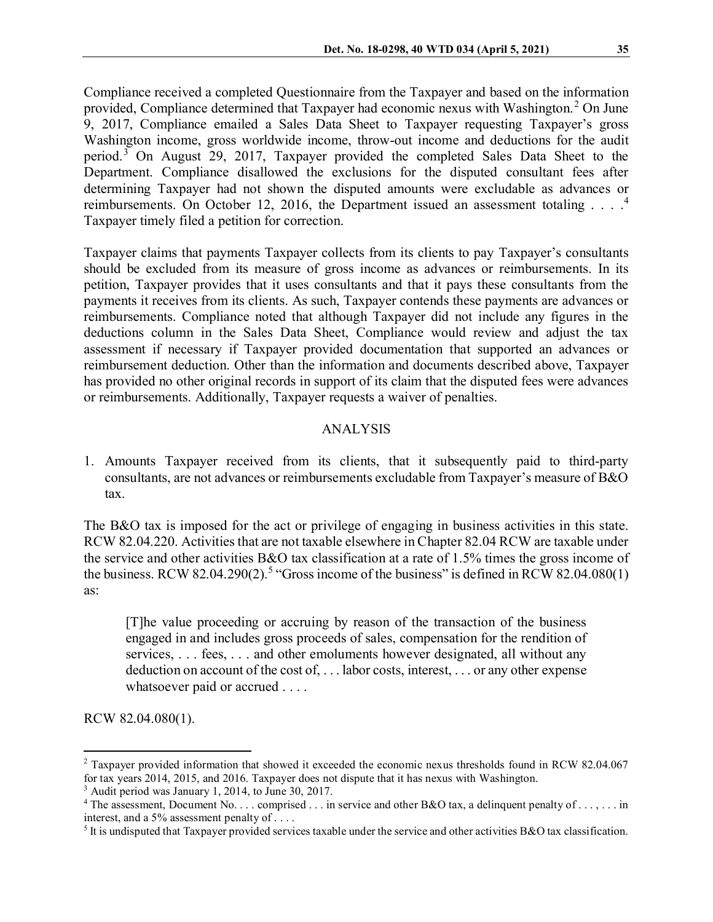Compliance received a completed Questionnaire from the Taxpayer and based on the information provided, Compliance determined that Taxpayer had economic nexus with Washington.<sup>[2](#page-1-0)</sup> On June 9, 2017, Compliance emailed a Sales Data Sheet to Taxpayer requesting Taxpayer's gross Washington income, gross worldwide income, throw-out income and deductions for the audit period.[3](#page-1-1) On August 29, 2017, Taxpayer provided the completed Sales Data Sheet to the Department. Compliance disallowed the exclusions for the disputed consultant fees after determining Taxpayer had not shown the disputed amounts were excludable as advances or reimbursements. On October 12, 2016, the Department issued an assessment totaling . . . .<sup>[4](#page-1-2)</sup> Taxpayer timely filed a petition for correction.

Taxpayer claims that payments Taxpayer collects from its clients to pay Taxpayer's consultants should be excluded from its measure of gross income as advances or reimbursements. In its petition, Taxpayer provides that it uses consultants and that it pays these consultants from the payments it receives from its clients. As such, Taxpayer contends these payments are advances or reimbursements. Compliance noted that although Taxpayer did not include any figures in the deductions column in the Sales Data Sheet, Compliance would review and adjust the tax assessment if necessary if Taxpayer provided documentation that supported an advances or reimbursement deduction. Other than the information and documents described above, Taxpayer has provided no other original records in support of its claim that the disputed fees were advances or reimbursements. Additionally, Taxpayer requests a waiver of penalties.

### ANALYSIS

1. Amounts Taxpayer received from its clients, that it subsequently paid to third-party consultants, are not advances or reimbursements excludable from Taxpayer's measure of B&O tax.

The B&O tax is imposed for the act or privilege of engaging in business activities in this state. RCW 82.04.220. Activities that are not taxable elsewhere in Chapter 82.04 RCW are taxable under the service and other activities B&O tax classification at a rate of 1.5% times the gross income of the business. RCW 82.04.290(2).<sup>[5](#page-1-3)</sup> "Gross income of the business" is defined in RCW 82.04.080(1) as:

[T]he value proceeding or accruing by reason of the transaction of the business engaged in and includes gross proceeds of sales, compensation for the rendition of services, . . . fees, . . . and other emoluments however designated, all without any deduction on account of the cost of, . . . labor costs, interest, . . . or any other expense whatsoever paid or accrued . . . .

RCW 82.04.080(1).

<span id="page-1-0"></span> <sup>2</sup> Taxpayer provided information that showed it exceeded the economic nexus thresholds found in RCW 82.04.067 for tax years 2014, 2015, and 2016. Taxpayer does not dispute that it has nexus with Washington. 3 Audit period was January 1, 2014, to June 30, 2017.

<span id="page-1-1"></span>

<span id="page-1-2"></span><sup>&</sup>lt;sup>4</sup> The assessment, Document No. . . . comprised . . . in service and other B&O tax, a delinquent penalty of . . . , . . . in interest, and a 5% assessment penalty of . . . .

<span id="page-1-3"></span><sup>&</sup>lt;sup>5</sup> It is undisputed that Taxpayer provided services taxable under the service and other activities B&O tax classification.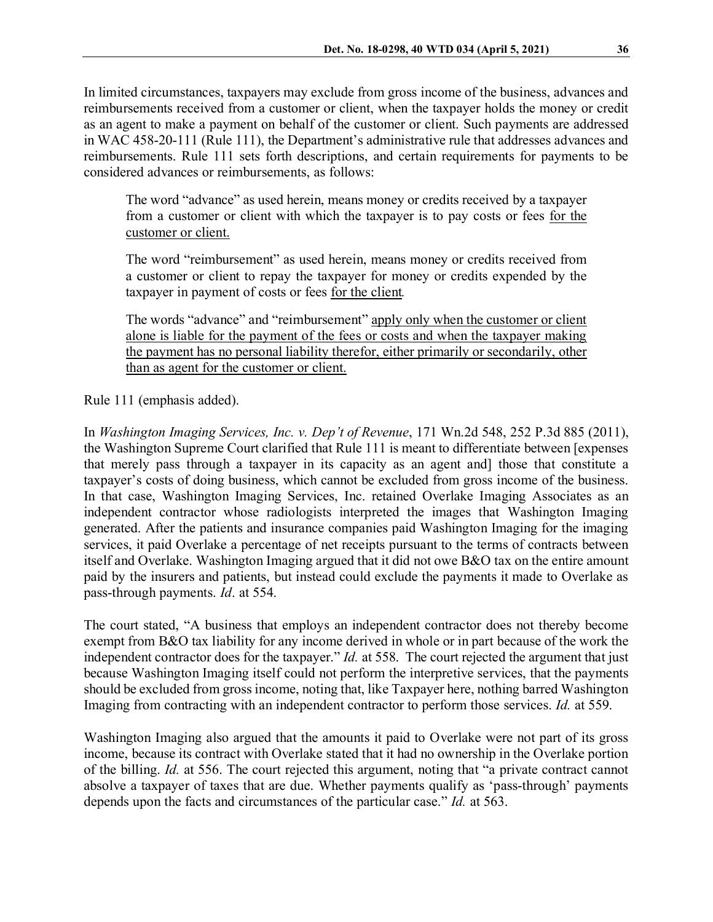In limited circumstances, taxpayers may exclude from gross income of the business, advances and reimbursements received from a customer or client, when the taxpayer holds the money or credit as an agent to make a payment on behalf of the customer or client. Such payments are addressed in WAC 458-20-111 (Rule 111), the Department's administrative rule that addresses advances and reimbursements. Rule 111 sets forth descriptions, and certain requirements for payments to be considered advances or reimbursements, as follows:

The word "advance" as used herein, means money or credits received by a taxpayer from a customer or client with which the taxpayer is to pay costs or fees for the customer or client.

The word "reimbursement" as used herein, means money or credits received from a customer or client to repay the taxpayer for money or credits expended by the taxpayer in payment of costs or fees for the client*.*

The words "advance" and "reimbursement" apply only when the customer or client alone is liable for the payment of the fees or costs and when the taxpayer making the payment has no personal liability therefor, either primarily or secondarily, other than as agent for the customer or client.

Rule 111 (emphasis added).

In *Washington Imaging Services, Inc. v. Dep't of Revenue*, 171 Wn.2d 548, 252 P.3d 885 (2011), the Washington Supreme Court clarified that Rule 111 is meant to differentiate between [expenses that merely pass through a taxpayer in its capacity as an agent and] those that constitute a taxpayer's costs of doing business, which cannot be excluded from gross income of the business. In that case, Washington Imaging Services, Inc. retained Overlake Imaging Associates as an independent contractor whose radiologists interpreted the images that Washington Imaging generated. After the patients and insurance companies paid Washington Imaging for the imaging services, it paid Overlake a percentage of net receipts pursuant to the terms of contracts between itself and Overlake. Washington Imaging argued that it did not owe B&O tax on the entire amount paid by the insurers and patients, but instead could exclude the payments it made to Overlake as pass-through payments. *Id*. at 554.

The court stated, "A business that employs an independent contractor does not thereby become exempt from B&O tax liability for any income derived in whole or in part because of the work the independent contractor does for the taxpayer." *Id.* at 558. The court rejected the argument that just because Washington Imaging itself could not perform the interpretive services, that the payments should be excluded from gross income, noting that, like Taxpayer here, nothing barred Washington Imaging from contracting with an independent contractor to perform those services. *Id.* at 559.

Washington Imaging also argued that the amounts it paid to Overlake were not part of its gross income, because its contract with Overlake stated that it had no ownership in the Overlake portion of the billing. *Id.* at 556. The court rejected this argument, noting that "a private contract cannot absolve a taxpayer of taxes that are due. Whether payments qualify as 'pass-through' payments depends upon the facts and circumstances of the particular case." *Id.* at 563.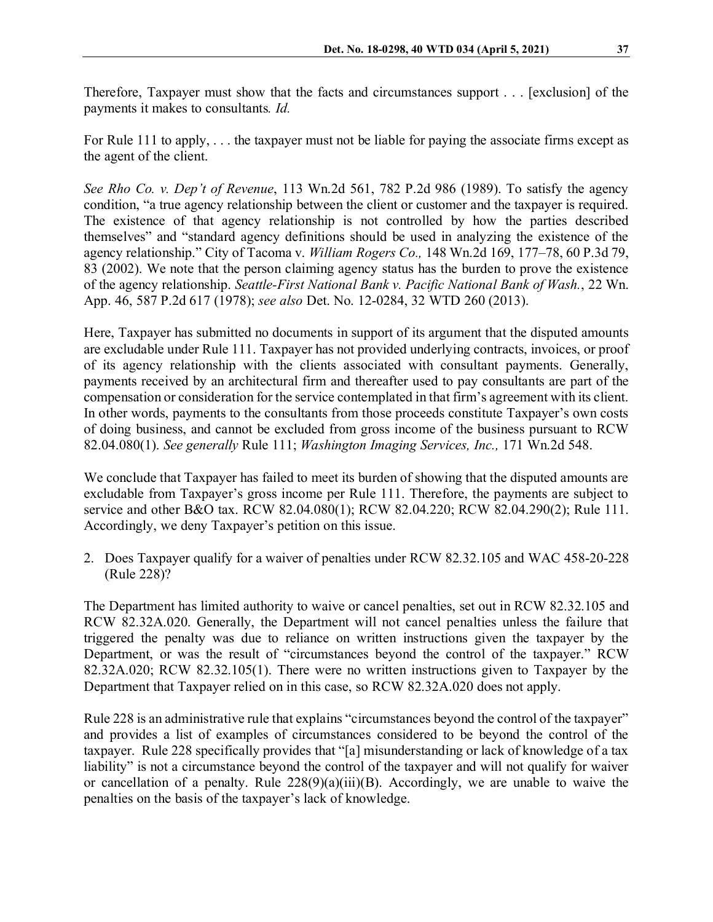For Rule 111 to apply, . . . the taxpayer must not be liable for paying the associate firms except as the agent of the client.

*See Rho Co. v. Dep't of Revenue*[, 113 Wn.2d 561, 782 P.2d 986 \(1989\).](http://www.westlaw.com/Link/Document/FullText?findType=Y&serNum=1989166103&pubNum=661&originatingDoc=Ia60c92d1830211e089b3e4fa6356f33d&refType=RP&originationContext=document&vr=3.0&rs=cblt1.0&transitionType=DocumentItem&contextData=(sc.Search)) To satisfy the agency condition, "a true agency relationship between the client or customer and the taxpayer is required. The existence of that agency relationship is not controlled by how the parties described themselves" and "standard agency definitions should be used in analyzing the existence of the agency relationship." City of Tacoma v. *William Rogers Co.,* 148 Wn.2d 169, [177–78, 60 P.3d 79,](http://www.westlaw.com/Link/Document/FullText?findType=Y&serNum=2002789511&pubNum=4645&originatingDoc=Ia60c92d1830211e089b3e4fa6356f33d&refType=RP&originationContext=document&vr=3.0&rs=cblt1.0&transitionType=DocumentItem&contextData=(sc.Search))  [83 \(2002\).](http://www.westlaw.com/Link/Document/FullText?findType=Y&serNum=2002789511&pubNum=4645&originatingDoc=Ia60c92d1830211e089b3e4fa6356f33d&refType=RP&originationContext=document&vr=3.0&rs=cblt1.0&transitionType=DocumentItem&contextData=(sc.Search)) We note that the person claiming agency status has the burden to prove the existence of the agency relationship. *Seattle-First National Bank v. Pacific National Bank of Wash.*, 22 Wn. App. 46, 587 P.2d 617 (1978); *see also* Det. No. 12-0284, 32 WTD 260 (2013).

Here, Taxpayer has submitted no documents in support of its argument that the disputed amounts are excludable under Rule 111. Taxpayer has not provided underlying contracts, invoices, or proof of its agency relationship with the clients associated with consultant payments. Generally, payments received by an architectural firm and thereafter used to pay consultants are part of the compensation or consideration for the service contemplated in that firm's agreement with its client. In other words, payments to the consultants from those proceeds constitute Taxpayer's own costs of doing business, and cannot be excluded from gross income of the business pursuant to RCW 82.04.080(1). *See generally* Rule 111; *Washington Imaging Services, Inc.,* 171 Wn.2d 548.

We conclude that Taxpayer has failed to meet its burden of showing that the disputed amounts are excludable from Taxpayer's gross income per Rule 111. Therefore, the payments are subject to service and other B&O tax. RCW 82.04.080(1); RCW 82.04.220; RCW 82.04.290(2); Rule 111. Accordingly, we deny Taxpayer's petition on this issue.

2. Does Taxpayer qualify for a waiver of penalties under RCW 82.32.105 and WAC 458-20-228 (Rule 228)?

The Department has limited authority to waive or cancel penalties, set out in RCW 82.32.105 and RCW 82.32A.020. Generally, the Department will not cancel penalties unless the failure that triggered the penalty was due to reliance on written instructions given the taxpayer by the Department, or was the result of "circumstances beyond the control of the taxpayer." RCW 82.32A.020; RCW 82.32.105(1). There were no written instructions given to Taxpayer by the Department that Taxpayer relied on in this case, so RCW 82.32A.020 does not apply.

Rule 228 is an administrative rule that explains "circumstances beyond the control of the taxpayer" and provides a list of examples of circumstances considered to be beyond the control of the taxpayer. Rule 228 specifically provides that "[a] misunderstanding or lack of knowledge of a tax liability" is not a circumstance beyond the control of the taxpayer and will not qualify for waiver or cancellation of a penalty. Rule  $228(9)(a)(iii)(B)$ . Accordingly, we are unable to waive the penalties on the basis of the taxpayer's lack of knowledge.